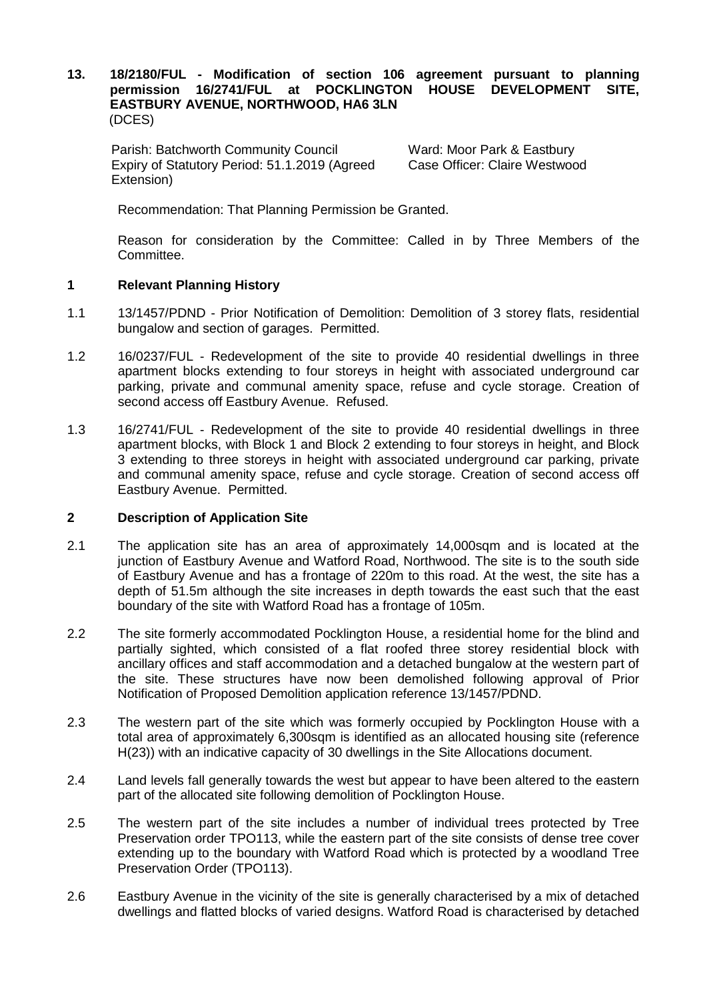#### **13. 18/2180/FUL - Modification of section 106 agreement pursuant to planning permission 16/2741/FUL at POCKLINGTON HOUSE DEVELOPMENT SITE, EASTBURY AVENUE, NORTHWOOD, HA6 3LN** (DCES)

Parish: Batchworth Community Council **Ward: Moor Park & Eastbury** Expiry of Statutory Period: 51.1.2019 (Agreed Extension)

Case Officer: Claire Westwood

Recommendation: That Planning Permission be Granted.

Reason for consideration by the Committee: Called in by Three Members of the Committee.

### **1 Relevant Planning History**

- 1.1 13/1457/PDND Prior Notification of Demolition: Demolition of 3 storey flats, residential bungalow and section of garages. Permitted.
- 1.2 16/0237/FUL Redevelopment of the site to provide 40 residential dwellings in three apartment blocks extending to four storeys in height with associated underground car parking, private and communal amenity space, refuse and cycle storage. Creation of second access off Eastbury Avenue. Refused.
- 1.3 16/2741/FUL Redevelopment of the site to provide 40 residential dwellings in three apartment blocks, with Block 1 and Block 2 extending to four storeys in height, and Block 3 extending to three storeys in height with associated underground car parking, private and communal amenity space, refuse and cycle storage. Creation of second access off Eastbury Avenue. Permitted.

# **2 Description of Application Site**

- 2.1 The application site has an area of approximately 14,000sqm and is located at the junction of Eastbury Avenue and Watford Road, Northwood. The site is to the south side of Eastbury Avenue and has a frontage of 220m to this road. At the west, the site has a depth of 51.5m although the site increases in depth towards the east such that the east boundary of the site with Watford Road has a frontage of 105m.
- 2.2 The site formerly accommodated Pocklington House, a residential home for the blind and partially sighted, which consisted of a flat roofed three storey residential block with ancillary offices and staff accommodation and a detached bungalow at the western part of the site. These structures have now been demolished following approval of Prior Notification of Proposed Demolition application reference 13/1457/PDND.
- 2.3 The western part of the site which was formerly occupied by Pocklington House with a total area of approximately 6,300sqm is identified as an allocated housing site (reference H(23)) with an indicative capacity of 30 dwellings in the Site Allocations document.
- 2.4 Land levels fall generally towards the west but appear to have been altered to the eastern part of the allocated site following demolition of Pocklington House.
- 2.5 The western part of the site includes a number of individual trees protected by Tree Preservation order TPO113, while the eastern part of the site consists of dense tree cover extending up to the boundary with Watford Road which is protected by a woodland Tree Preservation Order (TPO113).
- 2.6 Eastbury Avenue in the vicinity of the site is generally characterised by a mix of detached dwellings and flatted blocks of varied designs. Watford Road is characterised by detached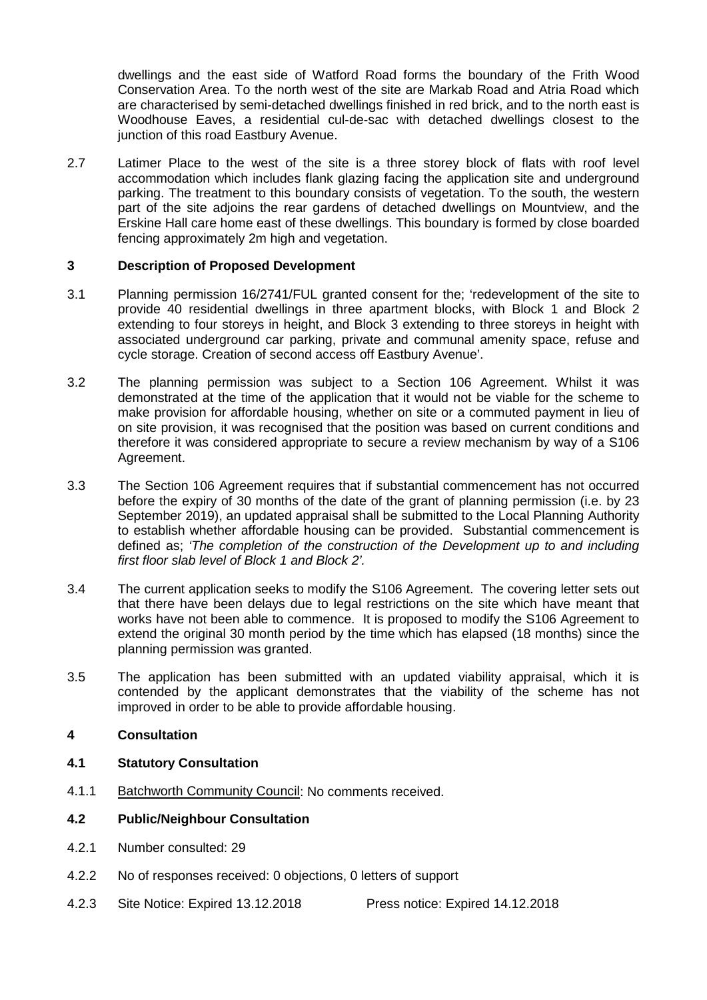dwellings and the east side of Watford Road forms the boundary of the Frith Wood Conservation Area. To the north west of the site are Markab Road and Atria Road which are characterised by semi-detached dwellings finished in red brick, and to the north east is Woodhouse Eaves, a residential cul-de-sac with detached dwellings closest to the junction of this road Eastbury Avenue.

2.7 Latimer Place to the west of the site is a three storey block of flats with roof level accommodation which includes flank glazing facing the application site and underground parking. The treatment to this boundary consists of vegetation. To the south, the western part of the site adjoins the rear gardens of detached dwellings on Mountview, and the Erskine Hall care home east of these dwellings. This boundary is formed by close boarded fencing approximately 2m high and vegetation.

# **3 Description of Proposed Development**

- 3.1 Planning permission 16/2741/FUL granted consent for the; 'redevelopment of the site to provide 40 residential dwellings in three apartment blocks, with Block 1 and Block 2 extending to four storeys in height, and Block 3 extending to three storeys in height with associated underground car parking, private and communal amenity space, refuse and cycle storage. Creation of second access off Eastbury Avenue'.
- 3.2 The planning permission was subject to a Section 106 Agreement. Whilst it was demonstrated at the time of the application that it would not be viable for the scheme to make provision for affordable housing, whether on site or a commuted payment in lieu of on site provision, it was recognised that the position was based on current conditions and therefore it was considered appropriate to secure a review mechanism by way of a S106 Agreement.
- 3.3 The Section 106 Agreement requires that if substantial commencement has not occurred before the expiry of 30 months of the date of the grant of planning permission (i.e. by 23 September 2019), an updated appraisal shall be submitted to the Local Planning Authority to establish whether affordable housing can be provided. Substantial commencement is defined as; *'The completion of the construction of the Development up to and including first floor slab level of Block 1 and Block 2'.*
- 3.4 The current application seeks to modify the S106 Agreement. The covering letter sets out that there have been delays due to legal restrictions on the site which have meant that works have not been able to commence. It is proposed to modify the S106 Agreement to extend the original 30 month period by the time which has elapsed (18 months) since the planning permission was granted.
- 3.5 The application has been submitted with an updated viability appraisal, which it is contended by the applicant demonstrates that the viability of the scheme has not improved in order to be able to provide affordable housing.

# **4 Consultation**

# **4.1 Statutory Consultation**

4.1.1 Batchworth Community Council: No comments received.

# **4.2 Public/Neighbour Consultation**

- 4.2.1 Number consulted: 29
- 4.2.2 No of responses received: 0 objections, 0 letters of support
- 4.2.3 Site Notice: Expired 13.12.2018 Press notice: Expired 14.12.2018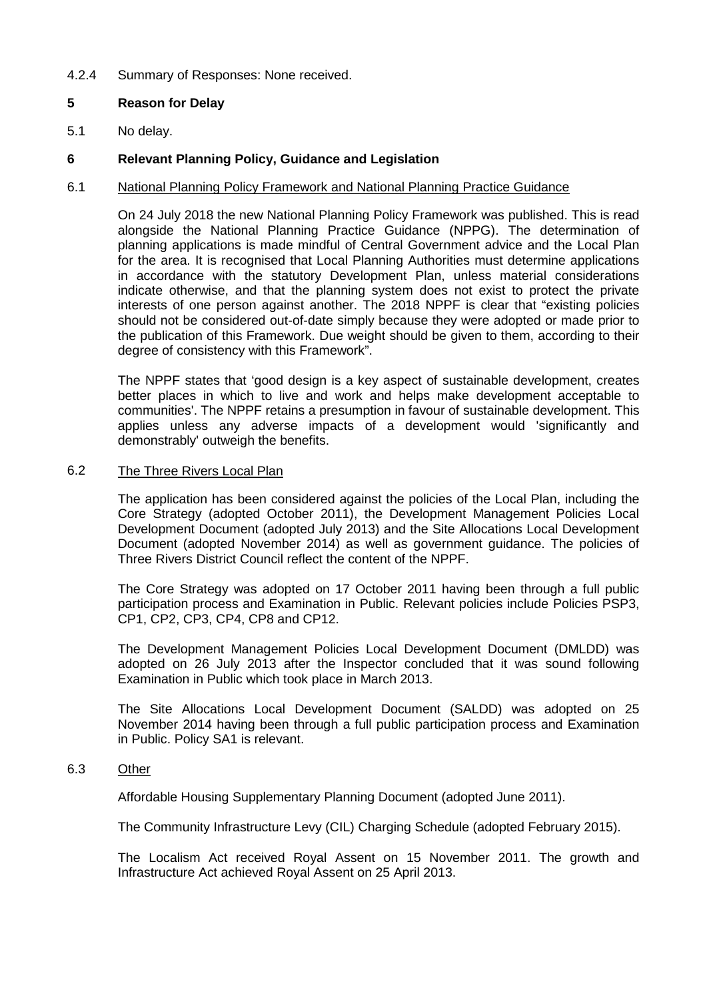### 4.2.4 Summary of Responses: None received.

# **5 Reason for Delay**

5.1 No delay.

### **6 Relevant Planning Policy, Guidance and Legislation**

#### 6.1 National Planning Policy Framework and National Planning Practice Guidance

On 24 July 2018 the new National Planning Policy Framework was published. This is read alongside the National Planning Practice Guidance (NPPG). The determination of planning applications is made mindful of Central Government advice and the Local Plan for the area. It is recognised that Local Planning Authorities must determine applications in accordance with the statutory Development Plan, unless material considerations indicate otherwise, and that the planning system does not exist to protect the private interests of one person against another. The 2018 NPPF is clear that "existing policies should not be considered out-of-date simply because they were adopted or made prior to the publication of this Framework. Due weight should be given to them, according to their degree of consistency with this Framework".

The NPPF states that 'good design is a key aspect of sustainable development, creates better places in which to live and work and helps make development acceptable to communities'. The NPPF retains a presumption in favour of sustainable development. This applies unless any adverse impacts of a development would 'significantly and demonstrably' outweigh the benefits.

#### 6.2 The Three Rivers Local Plan

The application has been considered against the policies of the Local Plan, including the Core Strategy (adopted October 2011), the Development Management Policies Local Development Document (adopted July 2013) and the Site Allocations Local Development Document (adopted November 2014) as well as government guidance. The policies of Three Rivers District Council reflect the content of the NPPF.

The Core Strategy was adopted on 17 October 2011 having been through a full public participation process and Examination in Public. Relevant policies include Policies PSP3, CP1, CP2, CP3, CP4, CP8 and CP12.

The Development Management Policies Local Development Document (DMLDD) was adopted on 26 July 2013 after the Inspector concluded that it was sound following Examination in Public which took place in March 2013.

The Site Allocations Local Development Document (SALDD) was adopted on 25 November 2014 having been through a full public participation process and Examination in Public. Policy SA1 is relevant.

#### 6.3 Other

Affordable Housing Supplementary Planning Document (adopted June 2011).

The Community Infrastructure Levy (CIL) Charging Schedule (adopted February 2015).

The Localism Act received Royal Assent on 15 November 2011. The growth and Infrastructure Act achieved Royal Assent on 25 April 2013.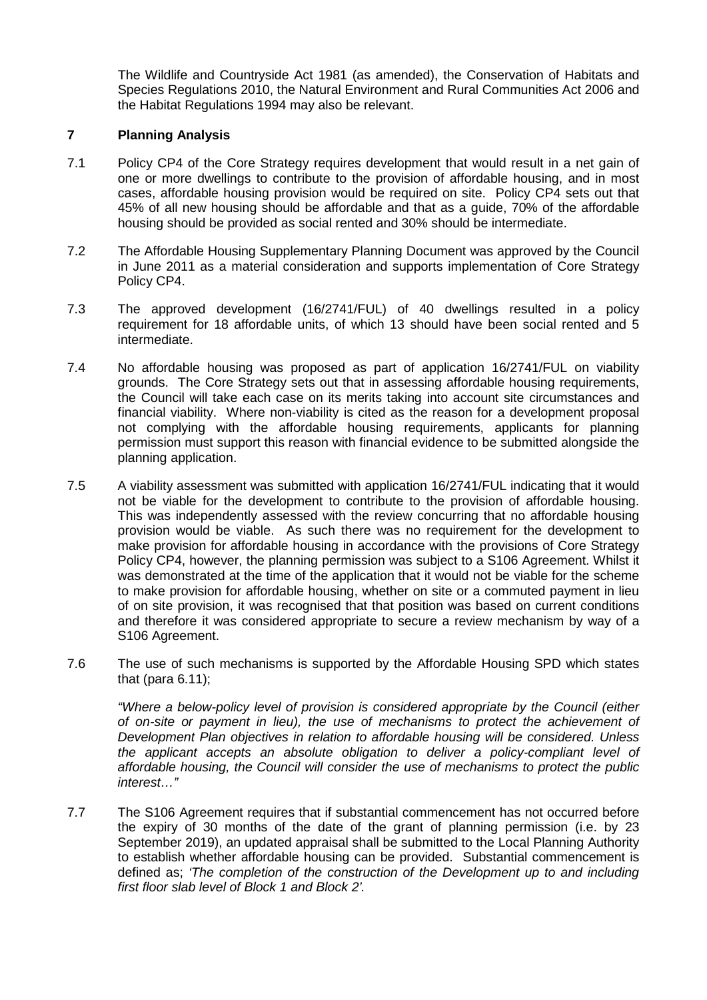The Wildlife and Countryside Act 1981 (as amended), the Conservation of Habitats and Species Regulations 2010, the Natural Environment and Rural Communities Act 2006 and the Habitat Regulations 1994 may also be relevant.

### **7 Planning Analysis**

- 7.1 Policy CP4 of the Core Strategy requires development that would result in a net gain of one or more dwellings to contribute to the provision of affordable housing, and in most cases, affordable housing provision would be required on site. Policy CP4 sets out that 45% of all new housing should be affordable and that as a guide, 70% of the affordable housing should be provided as social rented and 30% should be intermediate.
- 7.2 The Affordable Housing Supplementary Planning Document was approved by the Council in June 2011 as a material consideration and supports implementation of Core Strategy Policy CP4.
- 7.3 The approved development (16/2741/FUL) of 40 dwellings resulted in a policy requirement for 18 affordable units, of which 13 should have been social rented and 5 intermediate.
- 7.4 No affordable housing was proposed as part of application 16/2741/FUL on viability grounds. The Core Strategy sets out that in assessing affordable housing requirements, the Council will take each case on its merits taking into account site circumstances and financial viability. Where non-viability is cited as the reason for a development proposal not complying with the affordable housing requirements, applicants for planning permission must support this reason with financial evidence to be submitted alongside the planning application.
- 7.5 A viability assessment was submitted with application 16/2741/FUL indicating that it would not be viable for the development to contribute to the provision of affordable housing. This was independently assessed with the review concurring that no affordable housing provision would be viable. As such there was no requirement for the development to make provision for affordable housing in accordance with the provisions of Core Strategy Policy CP4, however, the planning permission was subject to a S106 Agreement. Whilst it was demonstrated at the time of the application that it would not be viable for the scheme to make provision for affordable housing, whether on site or a commuted payment in lieu of on site provision, it was recognised that that position was based on current conditions and therefore it was considered appropriate to secure a review mechanism by way of a S106 Agreement.
- 7.6 The use of such mechanisms is supported by the Affordable Housing SPD which states that (para  $6.11$ );

*"Where a below-policy level of provision is considered appropriate by the Council (either of on-site or payment in lieu), the use of mechanisms to protect the achievement of Development Plan objectives in relation to affordable housing will be considered. Unless the applicant accepts an absolute obligation to deliver a policy-compliant level of affordable housing, the Council will consider the use of mechanisms to protect the public interest…"*

7.7 The S106 Agreement requires that if substantial commencement has not occurred before the expiry of 30 months of the date of the grant of planning permission (i.e. by 23 September 2019), an updated appraisal shall be submitted to the Local Planning Authority to establish whether affordable housing can be provided. Substantial commencement is defined as; *'The completion of the construction of the Development up to and including first floor slab level of Block 1 and Block 2'.*